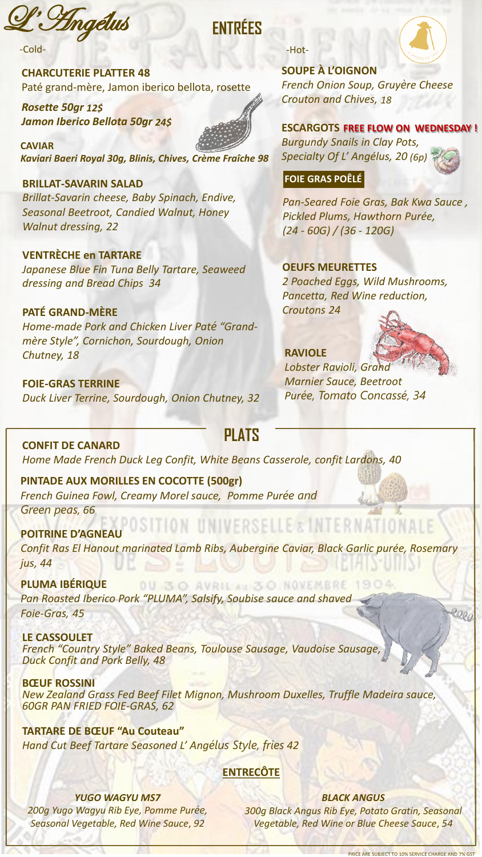*Engélus* 

 $-$ Cold $-$ 

**CHARCUTERIE PLATTER 48** Paté grand-mère, Jamon iberico bellota, rosette

Rosette 50gr 12\$ Jamon Iberico Bellota 50gr 24\$

**CAVIAR** Kaviari Baeri Royal 30g, Blinis, Chives, Crème Fraîche 98

**BRILLAT-SAVARIN SALAD** Brillat-Savarin cheese, Baby Spinach, Endive, Seasonal Beetroot, Candied Walnut, Honey **Walnut dressing, 22** 

**VENTRÈCHE en TARTARE** Japanese Blue Fin Tuna Belly Tartare, Seaweed dressing and Bread Chips 34

**PATÉ GRAND-MÈRE** Home-made Pork and Chicken Liver Paté "Grandmère Style", Cornichon, Sourdough, Onion Chutney, 18

**FOIE-GRAS TERRINE** Duck Liver Terrine, Sourdough, Onion Chutney, 32

#### -Hot-

**FNTRÉFS** 



**SOUPE À L'OIGNON** 

French Onion Soup, Gruyère Cheese Crouton and Chives, 18

**ESCARGOTS FREE FLOW ON WEDNESDAY! Burgundy Snails in Clay Pots,** Specialty Of L' Angélus, 20 (6p)

#### $|$ FOIE GRAS POÊLÉ $|$

Pan-Seared Foie Gras, Bak Kwa Sauce, Pickled Plums, Hawthorn Purée,  $(24 - 60G) / (36 - 120G)$ 

#### **OEUFS MEURETTES**

2 Poached Eggs, Wild Mushrooms, Pancetta, Red Wine reduction, **Croutons 24** 

#### **RAVIOLE**



Lobster Ravioli, Grand **Marnier Sauce, Beetroot** Purée, Tomato Concassé, 34

**PLATS CONFIT DE CANARD** Home Made French Duck Leg Confit, White Beans Casserole, confit Lardons, 40

PINTADE AUX MORILLES EN COCOTTE (500gr) French Guinea Fowl, Creamy Morel sauce, Pomme Purée and Green peas, 66

UNIVERSELLE & INTERNATIONAL **POITRINE D'AGNEAU** Confit Ras El Hanout marinated Lamb Ribs, Aubergine Caviar, Black Garlic purée, Rosemary jus, 44

**PLUMA IBÉRIQUE** DU 30 AVRIL AU 30 NOVEMBRE Pan Roasted Iberico Pork "PLUMA", Salsify, Soubise sauce and shaved Foie-Gras, 45

**LE CASSOULET** French "Country Style" Baked Beans, Toulouse Sausage, Vaudoise Sausage, Duck Confit and Pork Belly, 48

**BŒUF ROSSINI** New Zealand Grass Fed Beef Filet Mignon, Mushroom Duxelles, Truffle Madeira sauce, **60GR PAN FRIED FOIE-GRAS, 62** 

**TARTARE DE BŒUF "Au Couteau"** Hand Cut Beef Tartare Seasoned L'Angélus Style, fries 42

#### **ENTRECÔTE**

**YUGO WAGYU MS7** 200g Yugo Wagyu Rib Eye, Pomme Purée, Seasonal Vegetable, Red Wine Sauce, 92

**BLACK ANGUS** 300g Black Angus Rib Eye, Potato Gratin, Seasonal Vegetable, Red Wine or Blue Cheese Sauce, 54

300